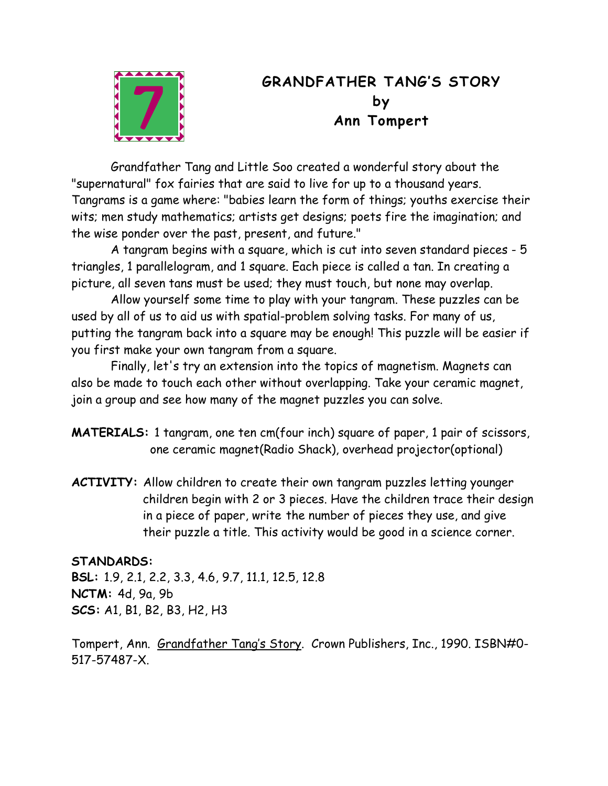

## **GRANDFATHER TANG'S STORY by Ann Tompert**

Grandfather Tang and Little Soo created a wonderful story about the "supernatural" fox fairies that are said to live for up to a thousand years. Tangrams is a game where: "babies learn the form of things; youths exercise their wits; men study mathematics; artists get designs; poets fire the imagination; and the wise ponder over the past, present, and future."

A tangram begins with a square, which is cut into seven standard pieces - 5 triangles, 1 parallelogram, and 1 square. Each piece is called a tan. In creating a picture, all seven tans must be used; they must touch, but none may overlap.

Allow yourself some time to play with your tangram. These puzzles can be used by all of us to aid us with spatial-problem solving tasks. For many of us, putting the tangram back into a square may be enough! This puzzle will be easier if you first make your own tangram from a square.

Finally, let's try an extension into the topics of magnetism. Magnets can also be made to touch each other without overlapping. Take your ceramic magnet, join a group and see how many of the magnet puzzles you can solve.

**MATERIALS:** 1 tangram, one ten cm(four inch) square of paper, 1 pair of scissors, one ceramic magnet(Radio Shack), overhead projector(optional)

**ACTIVITY:** Allow children to create their own tangram puzzles letting younger children begin with 2 or 3 pieces. Have the children trace their design in a piece of paper, write the number of pieces they use, and give their puzzle a title. This activity would be good in a science corner.

## **STANDARDS:**

**BSL:** 1.9, 2.1, 2.2, 3.3, 4.6, 9.7, 11.1, 12.5, 12.8 **NCTM:** 4d, 9a, 9b **SCS:** A1, B1, B2, B3, H2, H3

Tompert, Ann. Grandfather Tang's Story. Crown Publishers, Inc., 1990. ISBN#0- 517-57487-X.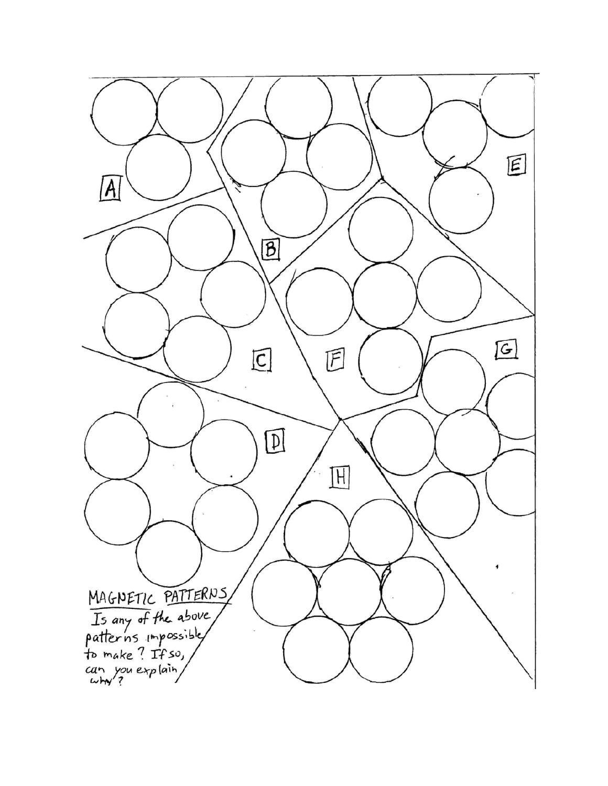